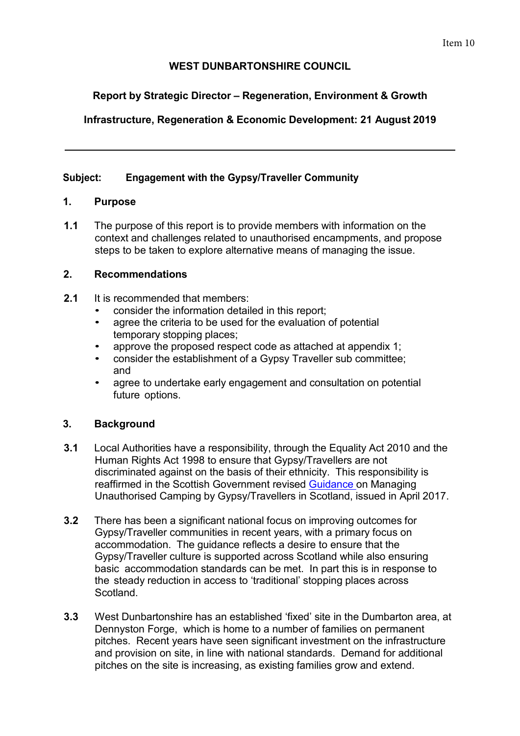## **WEST DUNBARTONSHIRE COUNCIL**

# **Report by Strategic Director – Regeneration, Environment & Growth**

# **Infrastructure, Regeneration & Economic Development: 21 August 2019**

## **Subject: Engagement with the Gypsy/Traveller Community**

## **1. Purpose**

**1.1** The purpose of this report is to provide members with information on the context and challenges related to unauthorised encampments, and propose steps to be taken to explore alternative means of managing the issue.

## **2. Recommendations**

- **2.1** It is recommended that members:
	- consider the information detailed in this report;
	- agree the criteria to be used for the evaluation of potential temporary stopping places;
	- approve the proposed respect code as attached at appendix 1;
	- consider the establishment of a Gypsy Traveller sub committee; and
	- agree to undertake early engagement and consultation on potential future options.

## **3. Background**

- **3.1** Local Authorities have a responsibility, through the Equality Act 2010 and the Human Rights Act 1998 to ensure that Gypsy/Travellers are not discriminated against on the basis of their ethnicity. This responsibility is reaffirmed in the Scottish Government revised [Guidance o](https://www.gov.scot/publications/guidance-local-authorities-managing-unauthorised-camping-gypsy-travellers-scotland/)n Managing Unauthorised Camping by Gypsy/Travellers in Scotland, issued in April 2017.
- **3.2** There has been a significant national focus on improving outcomes for Gypsy/Traveller communities in recent years, with a primary focus on accommodation. The guidance reflects a desire to ensure that the Gypsy/Traveller culture is supported across Scotland while also ensuring basic accommodation standards can be met. In part this is in response to the steady reduction in access to 'traditional' stopping places across Scotland.
- **3.3** West Dunbartonshire has an established 'fixed' site in the Dumbarton area, at Dennyston Forge, which is home to a number of families on permanent pitches. Recent years have seen significant investment on the infrastructure and provision on site, in line with national standards. Demand for additional pitches on the site is increasing, as existing families grow and extend.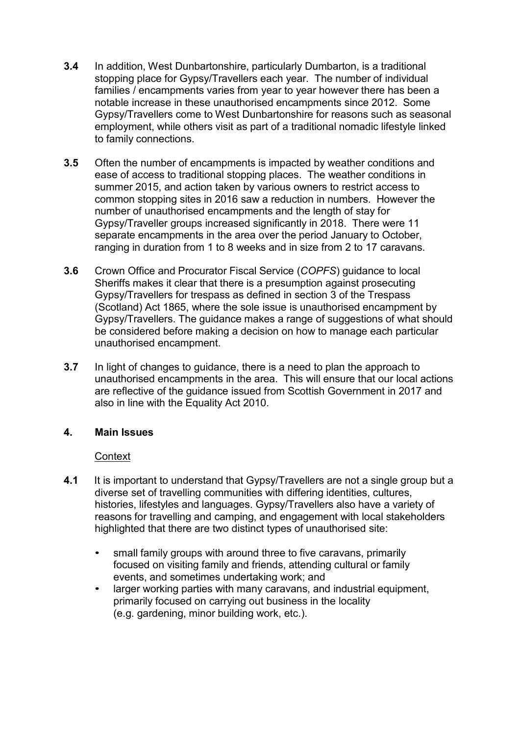- **3.4** In addition, West Dunbartonshire, particularly Dumbarton, is a traditional stopping place for Gypsy/Travellers each year. The number of individual families / encampments varies from year to year however there has been a notable increase in these unauthorised encampments since 2012. Some Gypsy/Travellers come to West Dunbartonshire for reasons such as seasonal employment, while others visit as part of a traditional nomadic lifestyle linked to family connections.
- **3.5** Often the number of encampments is impacted by weather conditions and ease of access to traditional stopping places. The weather conditions in summer 2015, and action taken by various owners to restrict access to common stopping sites in 2016 saw a reduction in numbers. However the number of unauthorised encampments and the length of stay for Gypsy/Traveller groups increased significantly in 2018. There were 11 separate encampments in the area over the period January to October, ranging in duration from 1 to 8 weeks and in size from 2 to 17 caravans.
- **3.6** Crown Office and Procurator Fiscal Service (*COPFS*) guidance to local Sheriffs makes it clear that there is a presumption against prosecuting Gypsy/Travellers for trespass as defined in section 3 of the Trespass (Scotland) Act 1865, where the sole issue is unauthorised encampment by Gypsy/Travellers. The guidance makes a range of suggestions of what should be considered before making a decision on how to manage each particular unauthorised encampment.
- **3.7** In light of changes to guidance, there is a need to plan the approach to unauthorised encampments in the area. This will ensure that our local actions are reflective of the guidance issued from Scottish Government in 2017 and also in line with the Equality Act 2010.

#### **4. Main Issues**

#### **Context**

- **4.1** It is important to understand that Gypsy/Travellers are not a single group but a diverse set of travelling communities with differing identities, cultures, histories, lifestyles and languages. Gypsy/Travellers also have a variety of reasons for travelling and camping, and engagement with local stakeholders highlighted that there are two distinct types of unauthorised site:
	- small family groups with around three to five caravans, primarily focused on visiting family and friends, attending cultural or family events, and sometimes undertaking work; and
	- larger working parties with many caravans, and industrial equipment, primarily focused on carrying out business in the locality (e.g. gardening, minor building work, etc.).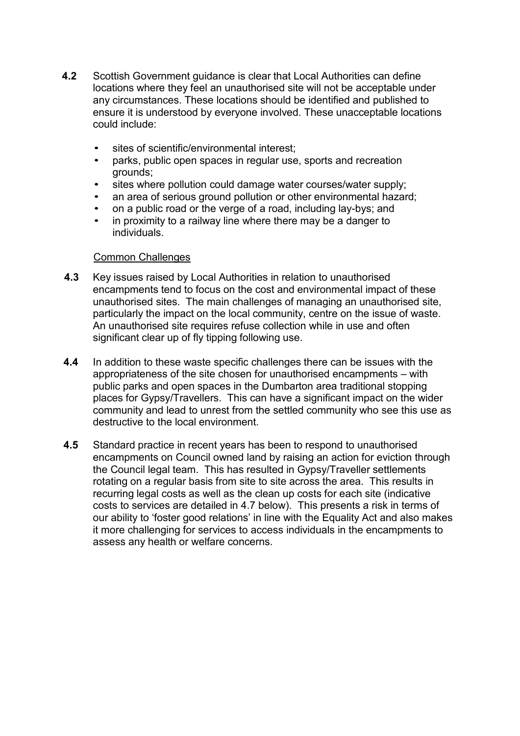- **4.2** Scottish Government guidance is clear that Local Authorities can define locations where they feel an unauthorised site will not be acceptable under any circumstances. These locations should be identified and published to ensure it is understood by everyone involved. These unacceptable locations could include:
	- sites of scientific/environmental interest;
	- parks, public open spaces in regular use, sports and recreation grounds;
	- sites where pollution could damage water courses/water supply;
	- an area of serious ground pollution or other environmental hazard:
	- on a public road or the verge of a road, including lay-bys; and
	- in proximity to a railway line where there may be a danger to individuals.

#### Common Challenges

- **4.3** Key issues raised by Local Authorities in relation to unauthorised encampments tend to focus on the cost and environmental impact of these unauthorised sites. The main challenges of managing an unauthorised site, particularly the impact on the local community, centre on the issue of waste. An unauthorised site requires refuse collection while in use and often significant clear up of fly tipping following use.
- **4.4** In addition to these waste specific challenges there can be issues with the appropriateness of the site chosen for unauthorised encampments – with public parks and open spaces in the Dumbarton area traditional stopping places for Gypsy/Travellers. This can have a significant impact on the wider community and lead to unrest from the settled community who see this use as destructive to the local environment.
- **4.5** Standard practice in recent years has been to respond to unauthorised encampments on Council owned land by raising an action for eviction through the Council legal team. This has resulted in Gypsy/Traveller settlements rotating on a regular basis from site to site across the area. This results in recurring legal costs as well as the clean up costs for each site (indicative costs to services are detailed in 4.7 below). This presents a risk in terms of our ability to 'foster good relations' in line with the Equality Act and also makes it more challenging for services to access individuals in the encampments to assess any health or welfare concerns.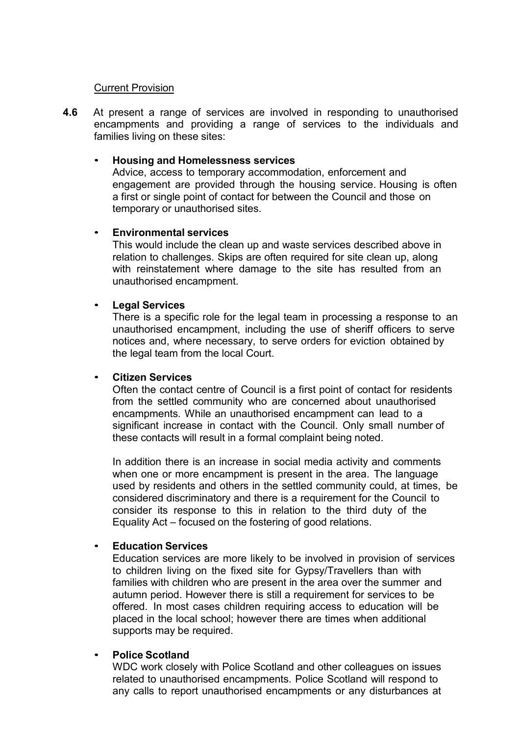#### Current Provision

**4.6** At present a range of services are involved in responding to unauthorised encampments and providing a range of services to the individuals and families living on these sites:

#### • **Housing and Homelessness services**

Advice, access to temporary accommodation, enforcement and engagement are provided through the housing service. Housing is often a first or single point of contact for between the Council and those on temporary or unauthorised sites.

#### • **Environmental services**

This would include the clean up and waste services described above in relation to challenges. Skips are often required for site clean up, along with reinstatement where damage to the site has resulted from an unauthorised encampment.

#### • **Legal Services**

There is a specific role for the legal team in processing a response to an unauthorised encampment, including the use of sheriff officers to serve notices and, where necessary, to serve orders for eviction obtained by the legal team from the local Court.

#### • **Citizen Services**

Often the contact centre of Council is a first point of contact for residents from the settled community who are concerned about unauthorised encampments. While an unauthorised encampment can lead to a significant increase in contact with the Council. Only small number of these contacts will result in a formal complaint being noted.

In addition there is an increase in social media activity and comments when one or more encampment is present in the area. The language used by residents and others in the settled community could, at times, be considered discriminatory and there is a requirement for the Council to consider its response to this in relation to the third duty of the Equality Act – focused on the fostering of good relations.

#### • **Education Services**

Education services are more likely to be involved in provision of services to children living on the fixed site for Gypsy/Travellers than with families with children who are present in the area over the summer and autumn period. However there is still a requirement for services to be offered. In most cases children requiring access to education will be placed in the local school; however there are times when additional supports may be required.

#### • **Police Scotland**

WDC work closely with Police Scotland and other colleagues on issues related to unauthorised encampments. Police Scotland will respond to any calls to report unauthorised encampments or any disturbances at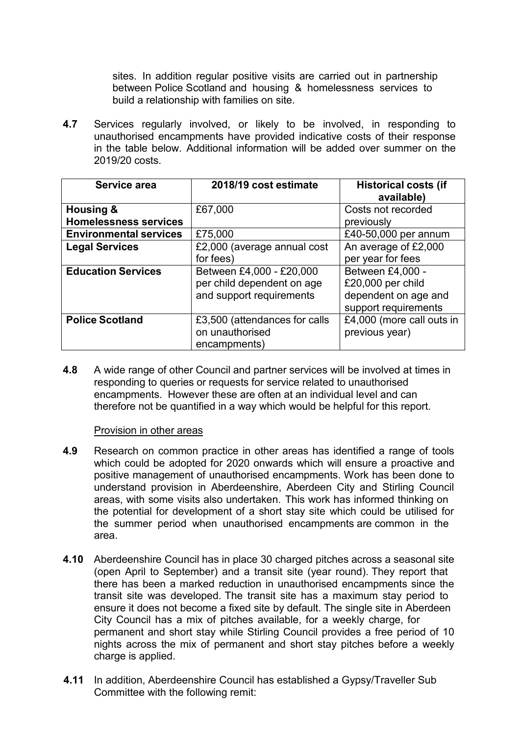sites. In addition regular positive visits are carried out in partnership between Police Scotland and housing & homelessness services to build a relationship with families on site.

**4.7** Services regularly involved, or likely to be involved, in responding to unauthorised encampments have provided indicative costs of their response in the table below. Additional information will be added over summer on the 2019/20 costs.

| Service area                  | 2018/19 cost estimate         | <b>Historical costs (if</b> |
|-------------------------------|-------------------------------|-----------------------------|
|                               |                               | available)                  |
| <b>Housing &amp;</b>          | £67,000                       | Costs not recorded          |
| <b>Homelessness services</b>  |                               | previously                  |
| <b>Environmental services</b> | £75,000                       | £40-50,000 per annum        |
| <b>Legal Services</b>         | £2,000 (average annual cost   | An average of £2,000        |
|                               | for fees)                     | per year for fees           |
| <b>Education Services</b>     | Between £4,000 - £20,000      | Between £4,000 -            |
|                               | per child dependent on age    | £20,000 per child           |
|                               | and support requirements      | dependent on age and        |
|                               |                               | support requirements        |
| <b>Police Scotland</b>        | £3,500 (attendances for calls | £4,000 (more call outs in   |
|                               | on unauthorised               | previous year)              |
|                               | encampments)                  |                             |

**4.8** A wide range of other Council and partner services will be involved at times in responding to queries or requests for service related to unauthorised encampments. However these are often at an individual level and can therefore not be quantified in a way which would be helpful for this report.

#### Provision in other areas

- **4.9** Research on common practice in other areas has identified a range of tools which could be adopted for 2020 onwards which will ensure a proactive and positive management of unauthorised encampments. Work has been done to understand provision in Aberdeenshire, Aberdeen City and Stirling Council areas, with some visits also undertaken. This work has informed thinking on the potential for development of a short stay site which could be utilised for the summer period when unauthorised encampments are common in the area.
- **4.10** Aberdeenshire Council has in place 30 charged pitches across a seasonal site (open April to September) and a transit site (year round). They report that there has been a marked reduction in unauthorised encampments since the transit site was developed. The transit site has a maximum stay period to ensure it does not become a fixed site by default. The single site in Aberdeen City Council has a mix of pitches available, for a weekly charge, for permanent and short stay while Stirling Council provides a free period of 10 nights across the mix of permanent and short stay pitches before a weekly charge is applied.
- **4.11** In addition, Aberdeenshire Council has established a Gypsy/Traveller Sub Committee with the following remit: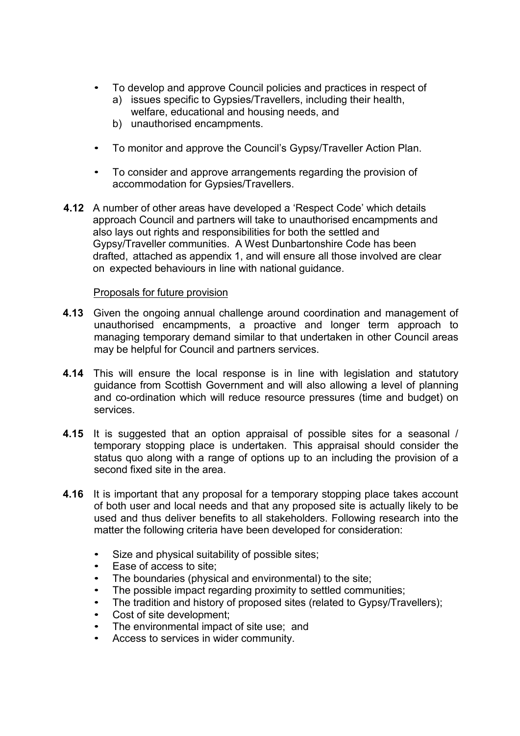- To develop and approve Council policies and practices in respect of
	- a) issues specific to Gypsies/Travellers, including their health, welfare, educational and housing needs, and
	- b) unauthorised encampments.
- To monitor and approve the Council's Gypsy/Traveller Action Plan.
- To consider and approve arrangements regarding the provision of accommodation for Gypsies/Travellers.
- **4.12** A number of other areas have developed a 'Respect Code' which details approach Council and partners will take to unauthorised encampments and also lays out rights and responsibilities for both the settled and Gypsy/Traveller communities. A West Dunbartonshire Code has been drafted, attached as appendix 1, and will ensure all those involved are clear on expected behaviours in line with national guidance.

#### Proposals for future provision

- **4.13** Given the ongoing annual challenge around coordination and management of unauthorised encampments, a proactive and longer term approach to managing temporary demand similar to that undertaken in other Council areas may be helpful for Council and partners services.
- **4.14** This will ensure the local response is in line with legislation and statutory guidance from Scottish Government and will also allowing a level of planning and co-ordination which will reduce resource pressures (time and budget) on services.
- **4.15** It is suggested that an option appraisal of possible sites for a seasonal / temporary stopping place is undertaken. This appraisal should consider the status quo along with a range of options up to an including the provision of a second fixed site in the area.
- **4.16** It is important that any proposal for a temporary stopping place takes account of both user and local needs and that any proposed site is actually likely to be used and thus deliver benefits to all stakeholders. Following research into the matter the following criteria have been developed for consideration:
	- Size and physical suitability of possible sites;
	- Ease of access to site;
	- The boundaries (physical and environmental) to the site:
	- The possible impact regarding proximity to settled communities;
	- The tradition and history of proposed sites (related to Gypsy/Travellers);
	- Cost of site development:
	- The environmental impact of site use; and
	- Access to services in wider community.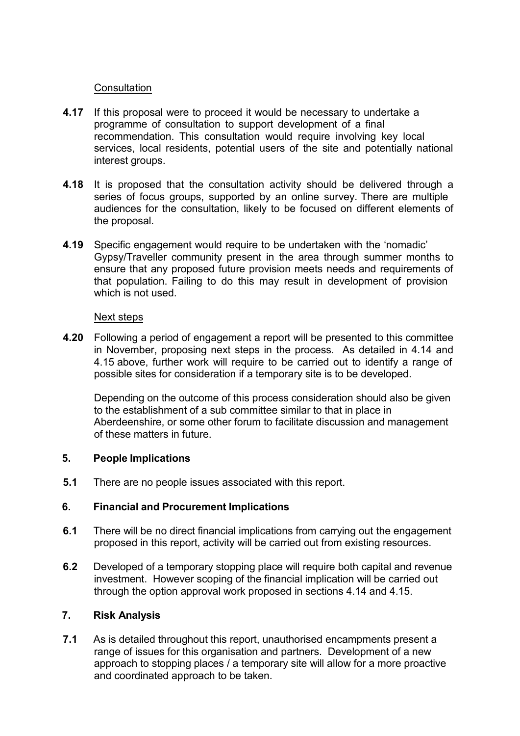#### **Consultation**

- **4.17** If this proposal were to proceed it would be necessary to undertake a programme of consultation to support development of a final recommendation. This consultation would require involving key local services, local residents, potential users of the site and potentially national interest groups.
- **4.18** It is proposed that the consultation activity should be delivered through a series of focus groups, supported by an online survey. There are multiple audiences for the consultation, likely to be focused on different elements of the proposal.
- **4.19** Specific engagement would require to be undertaken with the 'nomadic' Gypsy/Traveller community present in the area through summer months to ensure that any proposed future provision meets needs and requirements of that population. Failing to do this may result in development of provision which is not used.

#### Next steps

**4.20** Following a period of engagement a report will be presented to this committee in November, proposing next steps in the process. As detailed in 4.14 and 4.15 above, further work will require to be carried out to identify a range of possible sites for consideration if a temporary site is to be developed.

Depending on the outcome of this process consideration should also be given to the establishment of a sub committee similar to that in place in Aberdeenshire, or some other forum to facilitate discussion and management of these matters in future.

#### **5. People Implications**

**5.1** There are no people issues associated with this report.

## **6. Financial and Procurement Implications**

- **6.1** There will be no direct financial implications from carrying out the engagement proposed in this report, activity will be carried out from existing resources.
- **6.2** Developed of a temporary stopping place will require both capital and revenue investment. However scoping of the financial implication will be carried out through the option approval work proposed in sections 4.14 and 4.15.

#### **7. Risk Analysis**

**7.1** As is detailed throughout this report, unauthorised encampments present a range of issues for this organisation and partners. Development of a new approach to stopping places / a temporary site will allow for a more proactive and coordinated approach to be taken.